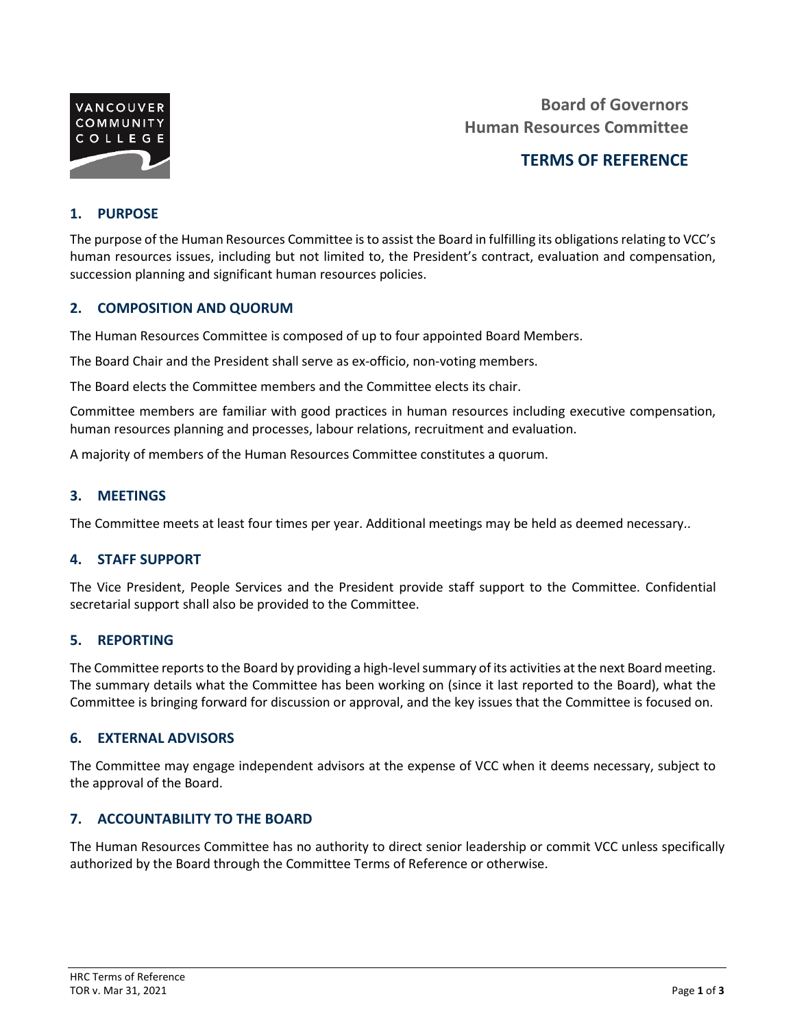

**Board of Governors Human Resources Committee**

# **TERMS OF REFERENCE**

## **1. PURPOSE**

The purpose of the Human Resources Committee is to assist the Board in fulfilling its obligations relating to VCC's human resources issues, including but not limited to, the President's contract, evaluation and compensation, succession planning and significant human resources policies.

#### **2. COMPOSITION AND QUORUM**

The Human Resources Committee is composed of up to four appointed Board Members.

The Board Chair and the President shall serve as ex-officio, non-voting members.

The Board elects the Committee members and the Committee elects its chair.

Committee members are familiar with good practices in human resources including executive compensation, human resources planning and processes, labour relations, recruitment and evaluation.

A majority of members of the Human Resources Committee constitutes a quorum.

#### **3. MEETINGS**

The Committee meets at least four times per year. Additional meetings may be held as deemed necessary..

#### **4. STAFF SUPPORT**

The Vice President, People Services and the President provide staff support to the Committee. Confidential secretarial support shall also be provided to the Committee.

#### **5. REPORTING**

The Committee reports to the Board by providing a high-level summary of its activities at the next Board meeting. The summary details what the Committee has been working on (since it last reported to the Board), what the Committee is bringing forward for discussion or approval, and the key issues that the Committee is focused on.

#### **6. EXTERNAL ADVISORS**

The Committee may engage independent advisors at the expense of VCC when it deems necessary, subject to the approval of the Board.

#### **7. ACCOUNTABILITY TO THE BOARD**

The Human Resources Committee has no authority to direct senior leadership or commit VCC unless specifically authorized by the Board through the Committee Terms of Reference or otherwise.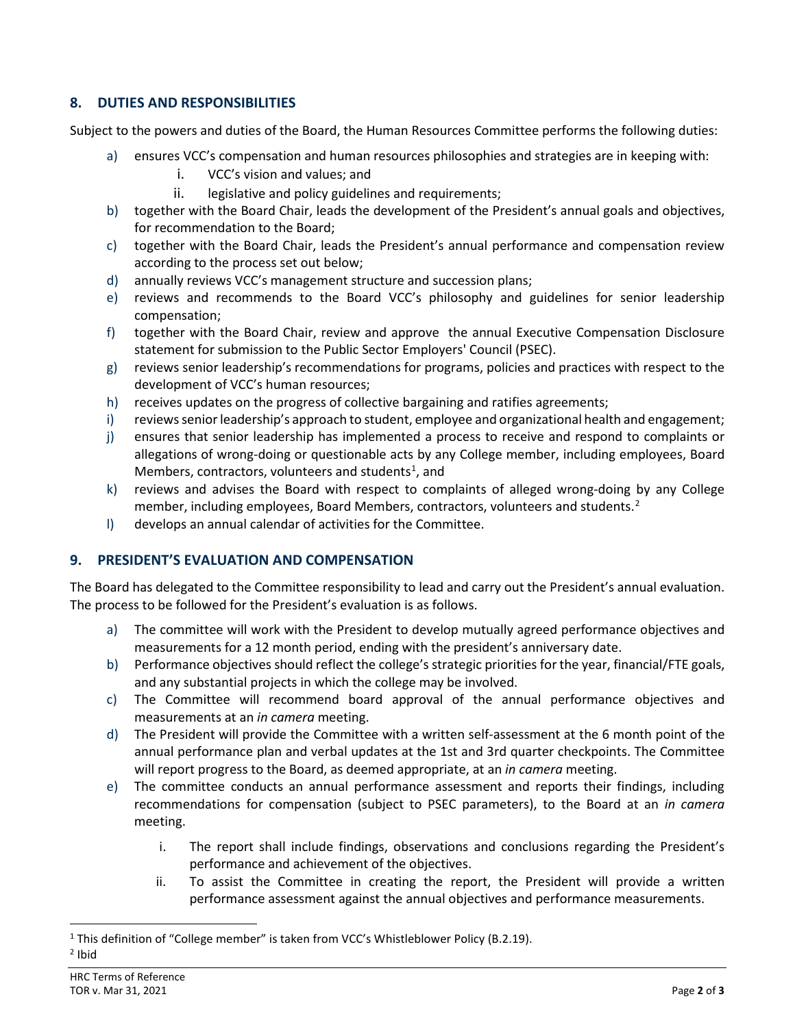## **8. DUTIES AND RESPONSIBILITIES**

Subject to the powers and duties of the Board, the Human Resources Committee performs the following duties:

- a) ensures VCC's compensation and human resources philosophies and strategies are in keeping with:
	- i. VCC's vision and values; and
	- ii. legislative and policy guidelines and requirements;
- b) together with the Board Chair, leads the development of the President's annual goals and objectives, for recommendation to the Board;
- c) together with the Board Chair, leads the President's annual performance and compensation review according to the process set out below;
- d) annually reviews VCC's management structure and succession plans;
- e) reviews and recommends to the Board VCC's philosophy and guidelines for senior leadership compensation;
- f) together with the Board Chair, review and approve the annual Executive Compensation Disclosure statement for submission to the Public Sector Employers' Council (PSEC).
- g) reviews senior leadership's recommendations for programs, policies and practices with respect to the development of VCC's human resources;
- h) receives updates on the progress of collective bargaining and ratifies agreements;
- i) reviews senior leadership's approach to student, employee and organizational health and engagement;
- j) ensures that senior leadership has implemented a process to receive and respond to complaints or allegations of wrong-doing or questionable acts by any College member, including employees, Board Members, contractors, volunteers and students<sup>[1](#page-1-0)</sup>, and
- k) reviews and advises the Board with respect to complaints of alleged wrong-doing by any College member, including employees, Board Members, contractors, volunteers and students.<sup>[2](#page-1-1)</sup>
- l) develops an annual calendar of activities for the Committee.

### **9. PRESIDENT'S EVALUATION AND COMPENSATION**

The Board has delegated to the Committee responsibility to lead and carry out the President's annual evaluation. The process to be followed for the President's evaluation is as follows.

- a) The committee will work with the President to develop mutually agreed performance objectives and measurements for a 12 month period, ending with the president's anniversary date.
- b) Performance objectives should reflect the college's strategic priorities for the year, financial/FTE goals, and any substantial projects in which the college may be involved.
- c) The Committee will recommend board approval of the annual performance objectives and measurements at an *in camera* meeting.
- d) The President will provide the Committee with a written self-assessment at the 6 month point of the annual performance plan and verbal updates at the 1st and 3rd quarter checkpoints. The Committee will report progress to the Board, as deemed appropriate, at an *in camera* meeting.
- e) The committee conducts an annual performance assessment and reports their findings, including recommendations for compensation (subject to PSEC parameters), to the Board at an *in camera* meeting.
	- i. The report shall include findings, observations and conclusions regarding the President's performance and achievement of the objectives.
	- ii. To assist the Committee in creating the report, the President will provide a written performance assessment against the annual objectives and performance measurements.

<span id="page-1-1"></span><span id="page-1-0"></span><sup>&</sup>lt;sup>1</sup> This definition of "College member" is taken from VCC's Whistleblower Policy (B.2.19).  $2$  Ibid